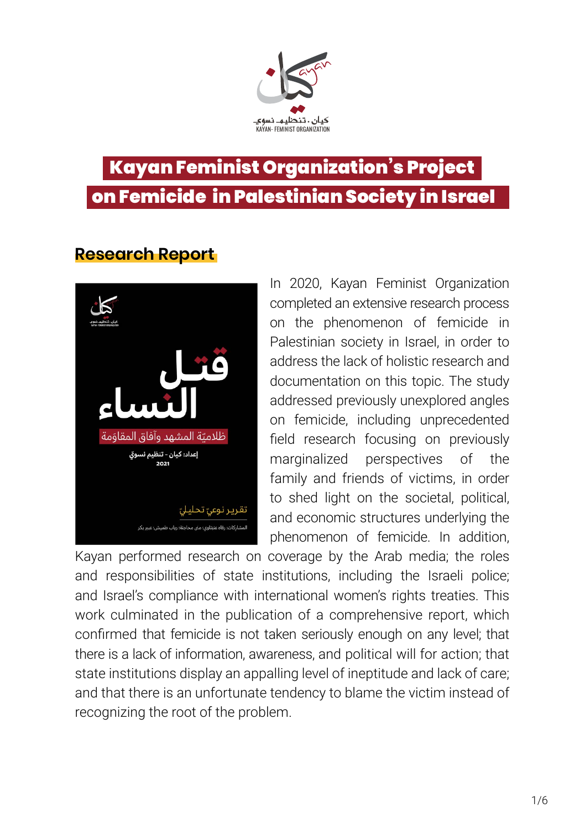

### Kayan Feminist Organization's Project on Femicide in Palestinian Society in Israel

### **Research Report**



In 2020, Kayan Feminist Organization completed an extensive research process on the phenomenon of femicide in Palestinian society in Israel, in order to address the lack of holistic research and documentation on this topic. The study addressed previously unexplored angles on femicide, including unprecedented field research focusing on previously marginalized perspectives of the family and friends of victims, in order to shed light on the societal, political, and economic structures underlying the phenomenon of femicide. In addition,

Kayan performed research on coverage by the Arab media; the roles and responsibilities of state institutions, including the Israeli police; and Israel's compliance with international women's rights treaties. This work culminated in the publication of a comprehensive report, which confirmed that femicide is not taken seriously enough on any level; that there is a lack of information, awareness, and political will for action; that state institutions display an appalling level of ineptitude and lack of care; and that there is an unfortunate tendency to blame the victim instead of recognizing the root of the problem.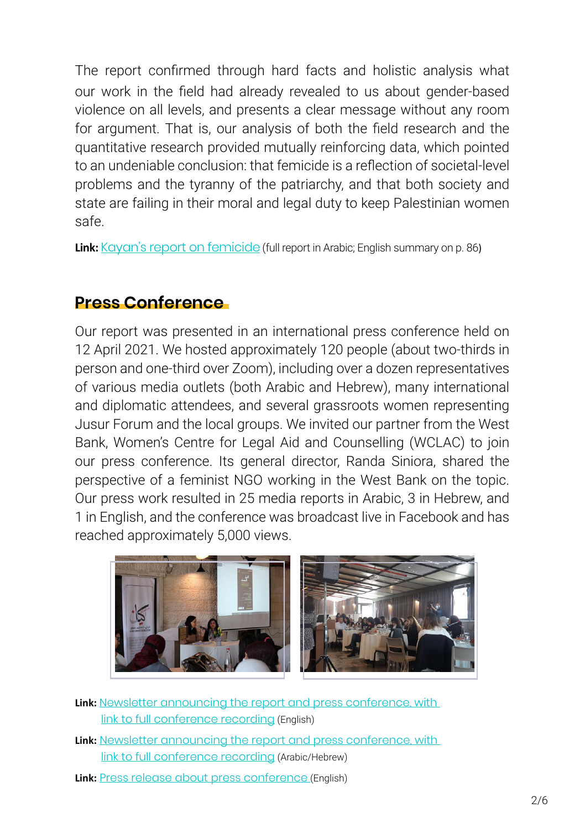The report confirmed through hard facts and holistic analysis what our work in the field had already revealed to us about gender-based violence on all levels, and presents a clear message without any room for argument. That is, our analysis of both the field research and the quantitative research provided mutually reinforcing data, which pointed to an undeniable conclusion: that femicide is a reflection of societal-level problems and the tyranny of the patriarchy, and that both society and state are failing in their moral and legal duty to keep Palestinian women .safe

**Link:** Kayan's report on femicide (full report in Arabic: English summary on p. 86)

#### **Conference Press**

Our report was presented in an international press conference held on 12 April 2021. We hosted approximately 120 people (about two-thirds in person and one-third over Zoom), including over a dozen representatives of various media outlets (both Arabic and Hebrew), many international and diplomatic attendees, and several grassroots women representing Jusur Forum and the local groups. We invited our partner from the West Bank, Women's Centre for Legal Aid and Counselling (WCLAC) to join our press conference. Its general director, Randa Siniora, shared the perspective of a feminist NGO working in the West Bank on the topic. Our press work resulted in 25 media reports in Arabic, 3 in Hebrew, and 1 in English, and the conference was broadcast live in Facebook and has reached approximately 5,000 views.



- Link: Newsletter announcing the report and press conference, with link to full conference recording (English)
- Link: Newsletter announcing the report and press conference, with link to full conference recording (Arabic/Hebrew)
- Link: Press release about press conference (English)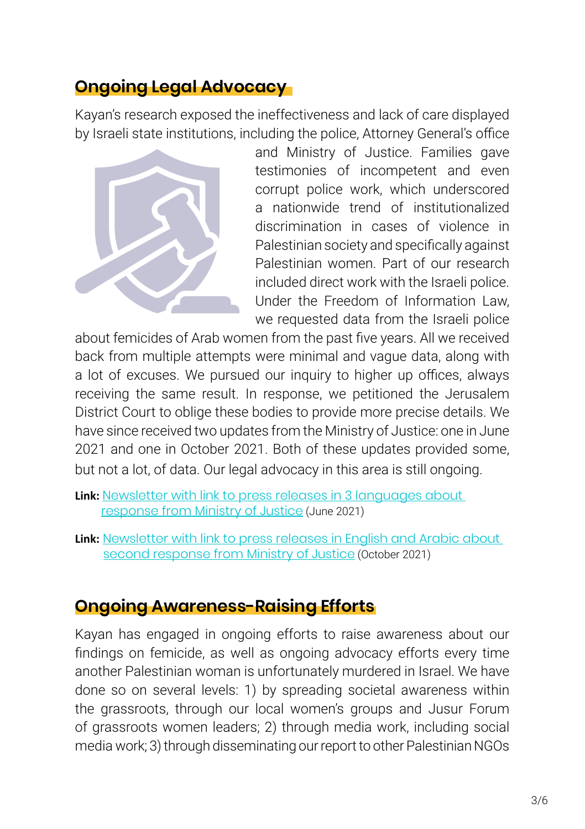### **Advocacy**

Kayan's research exposed the ineffectiveness and lack of care displayed by Israeli state institutions, including the police, Attorney General's office



and Ministry of Justice. Families gave testimonies of incompetent and even corrupt police work, which underscored a nationwide trend of institutionalized discrimination in cases of violence in Palestinian society and specifically against Palestinian women. Part of our research included direct work with the Israeli police. Under the Freedom of Information Law, we requested data from the Israeli police

about femicides of Arab women from the past five years. All we received back from multiple attempts were minimal and vague data, along with a lot of excuses. We pursued our inquiry to higher up offices, always receiving the same result. In response, we petitioned the Jerusalem District Court to oblige these bodies to provide more precise details. We have since received two updates from the Ministry of Justice: one in June 2021 and one in October 2021. Both of these updates provided some, but not a lot, of data. Our legal advocacy in this area is still ongoing.

- Link: Newsletter with link to press releases in 3 languages about response from Ministry of Justice (June 2021)
- Link: Newsletter with link to press releases in English and Arabic about second response from Ministry of Justice (October 2021)

### **Ongoing Awareness-Raising Efforts**

Kayan has engaged in ongoing efforts to raise awareness about our findings on femicide, as well as ongoing advocacy efforts every time another Palestinian woman is unfortunately murdered in Israel. We have done so on several levels: 1) by spreading societal awareness within the grassroots, through our local women's groups and Jusur Forum of grassroots women leaders; 2) through media work, including social media work; 3) through disseminating our report to other Palestinian NGOs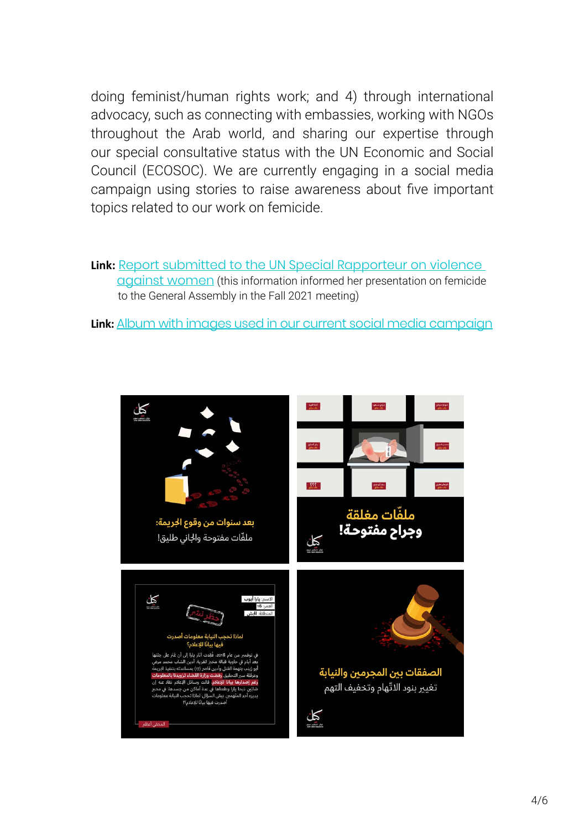doing feminist/human rights work; and 4) through international advocacy, such as connecting with embassies, working with NGOs throughout the Arab world, and sharing our expertise through our special consultative status with the UN Economic and Social Council (ECOSOC). We are currently engaging in a social media campaign using stories to raise awareness about five important topics related to our work on femicide.

Link: Report submitted to the UN Special Rapporteur on violence against women (this information informed her presentation on femicide to the General Assembly in the Fall 2021 meeting)

Link: Album with images used in our current social media campaign

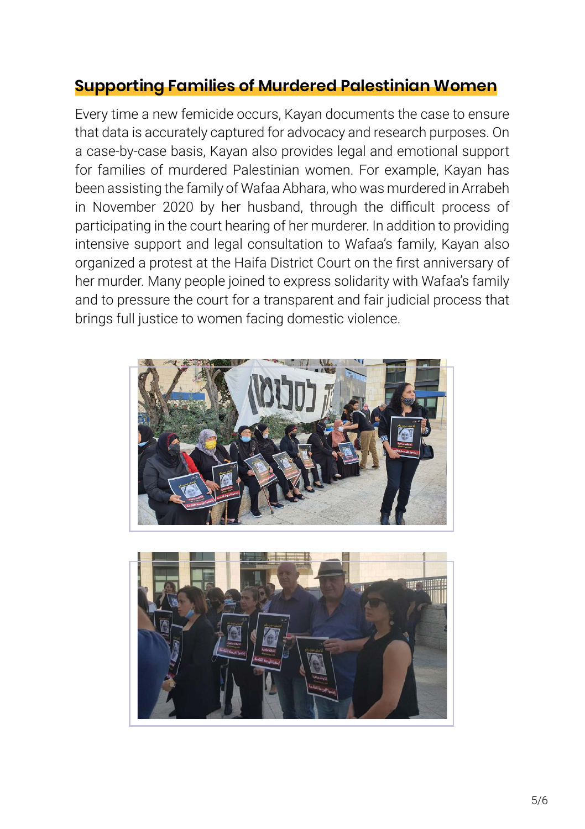### **Supporting Families of Murdered Palestinian Women**

Every time a new femicide occurs, Kayan documents the case to ensure that data is accurately captured for advocacy and research purposes. On a case-by-case basis, Kayan also provides legal and emotional support for families of murdered Palestinian women. For example, Kayan has been assisting the family of Wafaa Abhara, who was murdered in Arrabeh in November 2020 by her husband, through the difficult process of participating in the court hearing of her murderer. In addition to providing intensive support and legal consultation to Wafaa's family, Kayan also organized a protest at the Haifa District Court on the first anniversary of her murder. Many people joined to express solidarity with Wafaa's family and to pressure the court for a transparent and fair judicial process that brings full justice to women facing domestic violence.